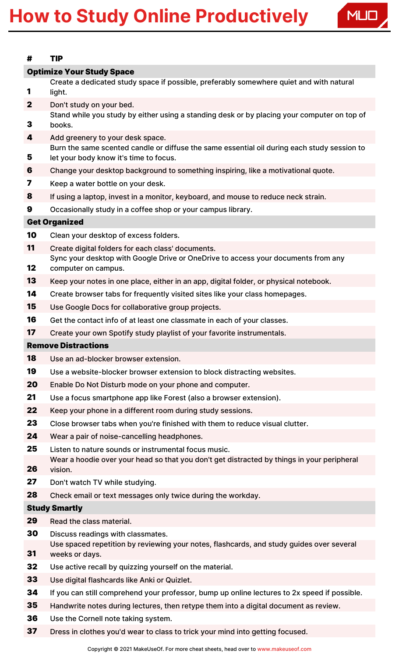## How to Study Online Productively



| #                                | <b>TIP</b>                                                                                                                                         |
|----------------------------------|----------------------------------------------------------------------------------------------------------------------------------------------------|
| <b>Optimize Your Study Space</b> |                                                                                                                                                    |
|                                  | Create a dedicated study space if possible, preferably somewhere quiet and with natural<br>light.                                                  |
| $\mathbf{2}$                     | Don't study on your bed.                                                                                                                           |
| 3                                | Stand while you study by either using a standing desk or by placing your computer on top of<br>books.                                              |
| 4                                | Add greenery to your desk space.                                                                                                                   |
| 5                                | Burn the same scented candle or diffuse the same essential oil during each study session to<br>let your body know it's time to focus.              |
| 6                                | Change your desktop background to something inspiring, like a motivational quote.                                                                  |
| 7                                | Keep a water bottle on your desk.                                                                                                                  |
| 8                                | If using a laptop, invest in a monitor, keyboard, and mouse to reduce neck strain.                                                                 |
| 9                                | Occasionally study in a coffee shop or your campus library.                                                                                        |
| <b>Get Organized</b>             |                                                                                                                                                    |
| 10                               | Clean your desktop of excess folders.                                                                                                              |
| 11                               | Create digital folders for each class' documents.                                                                                                  |
| 12                               | Sync your desktop with Google Drive or OneDrive to access your documents from any<br>computer on campus.                                           |
| 13                               | Keep your notes in one place, either in an app, digital folder, or physical notebook.                                                              |
| 14                               | Create browser tabs for frequently visited sites like your class homepages.                                                                        |
| 15                               | Use Google Docs for collaborative group projects.                                                                                                  |
| 16                               | Get the contact info of at least one classmate in each of your classes.                                                                            |
| 17                               | Create your own Spotify study playlist of your favorite instrumentals.                                                                             |
| <b>Remove Distractions</b>       |                                                                                                                                                    |
| 18                               | Use an ad-blocker browser extension.                                                                                                               |
| 19                               | Use a website-blocker browser extension to block distracting websites.                                                                             |
| 20                               | Enable Do Not Disturb mode on your phone and computer.                                                                                             |
| 21                               | Use a focus smartphone app like Forest (also a browser extension).                                                                                 |
| 22                               | Keep your phone in a different room during study sessions.                                                                                         |
| 23                               | Close browser tabs when you're finished with them to reduce visual clutter.                                                                        |
| 24                               | Wear a pair of noise-cancelling headphones.                                                                                                        |
| 25                               | Listen to nature sounds or instrumental focus music.<br>Wear a hoodie over your head so that you don't get distracted by things in your peripheral |
| 26<br>27                         | vision.                                                                                                                                            |
| 28                               | Don't watch TV while studying.                                                                                                                     |
|                                  | Check email or text messages only twice during the workday.                                                                                        |
| <b>Study Smartly</b>             |                                                                                                                                                    |
| 29                               | Read the class material.                                                                                                                           |
| 30<br>31                         | Discuss readings with classmates.<br>Use spaced repetition by reviewing your notes, flashcards, and study guides over several<br>weeks or days.    |
| 32                               | Use active recall by quizzing yourself on the material.                                                                                            |
| 33                               | Use digital flashcards like Anki or Quizlet.                                                                                                       |
| 34                               | If you can still comprehend your professor, bump up online lectures to 2x speed if possible.                                                       |
| 35                               |                                                                                                                                                    |
|                                  | Handwrite notes during lectures, then retype them into a digital document as review.                                                               |

- Use the Cornell note taking system.
- 37 Dress in clothes you'd wear to class to trick your mind into getting focused.